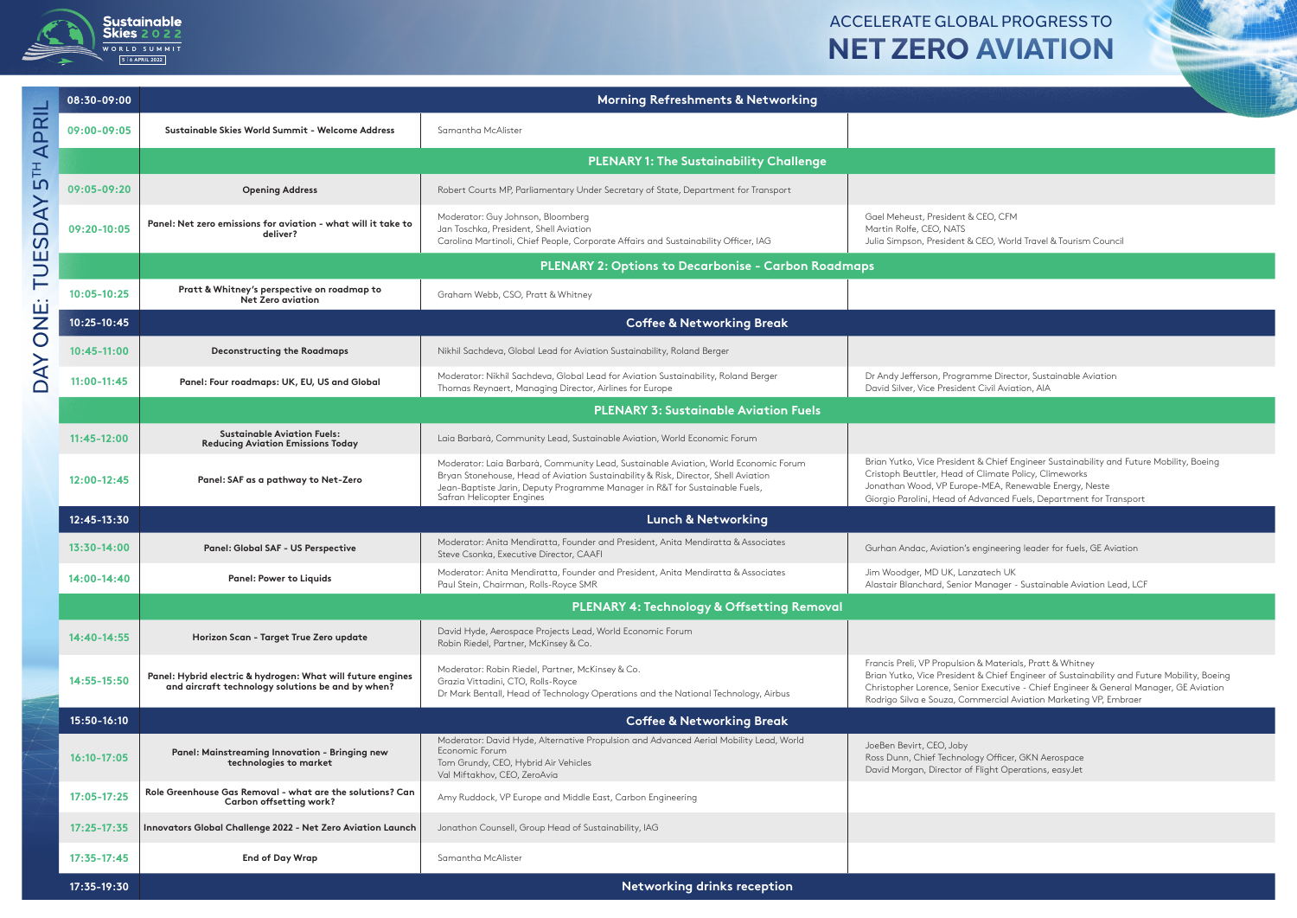

## **Sustainable**<br>
Skies 2022<br>
WORLD SUMMIT<br>
SIGNERS 2022<br>
SIGNERS 2022 ACCELERATE GLOBAL PROGRESS TO

| 08:30-09:00     |                                                                                                                  | Morning Refreshments & Networking                                                                                                                                                                                                                                                     |                                                                                                                                                                                                                                                                                                                      |  |  |
|-----------------|------------------------------------------------------------------------------------------------------------------|---------------------------------------------------------------------------------------------------------------------------------------------------------------------------------------------------------------------------------------------------------------------------------------|----------------------------------------------------------------------------------------------------------------------------------------------------------------------------------------------------------------------------------------------------------------------------------------------------------------------|--|--|
| 09:00-09:05     | Sustainable Skies World Summit - Welcome Address                                                                 | Samantha McAlister                                                                                                                                                                                                                                                                    |                                                                                                                                                                                                                                                                                                                      |  |  |
|                 | <b>PLENARY 1: The Sustainability Challenge</b>                                                                   |                                                                                                                                                                                                                                                                                       |                                                                                                                                                                                                                                                                                                                      |  |  |
| 09:05-09:20     | <b>Opening Address</b>                                                                                           | Robert Courts MP, Parliamentary Under Secretary of State, Department for Transport                                                                                                                                                                                                    |                                                                                                                                                                                                                                                                                                                      |  |  |
| 09:20-10:05     | Panel: Net zero emissions for aviation - what will it take to<br>deliver?                                        | Moderator: Guy Johnson, Bloomberg<br>Jan Toschka, President, Shell Aviation<br>Carolina Martinoli, Chief People, Corporate Affairs and Sustainability Officer, IAG                                                                                                                    | Gael Meheust, President & CEO, CFM<br>Martin Rolfe, CEO, NATS<br>Julia Simpson, President & CEO, World Travel & Tourism Council                                                                                                                                                                                      |  |  |
|                 | <b>PLENARY 2: Options to Decarbonise - Carbon Roadmaps</b>                                                       |                                                                                                                                                                                                                                                                                       |                                                                                                                                                                                                                                                                                                                      |  |  |
| $10:05 - 10:25$ | Pratt & Whitney's perspective on roadmap to<br><b>Net Zero aviation</b>                                          | Graham Webb, CSO, Pratt & Whitney                                                                                                                                                                                                                                                     |                                                                                                                                                                                                                                                                                                                      |  |  |
| 10:25-10:45     | <b>Coffee &amp; Networking Break</b>                                                                             |                                                                                                                                                                                                                                                                                       |                                                                                                                                                                                                                                                                                                                      |  |  |
| $10:45-11:00$   | <b>Deconstructing the Roadmaps</b>                                                                               | Nikhil Sachdeva, Global Lead for Aviation Sustainability, Roland Berger                                                                                                                                                                                                               |                                                                                                                                                                                                                                                                                                                      |  |  |
| $11:00-11:45$   | Panel: Four roadmaps: UK, EU, US and Global                                                                      | Moderator: Nikhil Sachdeva, Global Lead for Aviation Sustainability, Roland Berger<br>Thomas Reynaert, Managing Director, Airlines for Europe                                                                                                                                         | Dr Andy Jefferson, Programme Director, Sustainable Aviation<br>David Silver, Vice President Civil Aviation, AIA                                                                                                                                                                                                      |  |  |
|                 | <b>PLENARY 3: Sustainable Aviation Fuels</b>                                                                     |                                                                                                                                                                                                                                                                                       |                                                                                                                                                                                                                                                                                                                      |  |  |
| $11:45-12:00$   | <b>Sustainable Aviation Fuels:</b><br><b>Reducing Aviation Emissions Today</b>                                   | Laia Barbarà, Community Lead, Sustainable Aviation, World Economic Forum                                                                                                                                                                                                              |                                                                                                                                                                                                                                                                                                                      |  |  |
| 12:00-12:45     | Panel: SAF as a pathway to Net-Zero                                                                              | Moderator: Laia Barbarà, Community Lead, Sustainable Aviation, World Economic Forum<br>Bryan Stonehouse, Head of Aviation Sustainability & Risk, Director, Shell Aviation<br>Jean-Baptiste Jarin, Deputy Programme Manager in R&T for Sustainable Fuels,<br>Safran Helicopter Engines | Brian Yutko, Vice President & Chief Engineer Sustainability and Future Mobility, Boeing<br>Cristoph Beuttler, Head of Climate Policy, Climeworks<br>Jonathan Wood, VP Europe-MEA, Renewable Energy, Neste<br>Giorgio Parolini, Head of Advanced Fuels, Department for Transport                                      |  |  |
| 12:45-13:30     | Lunch & Networking                                                                                               |                                                                                                                                                                                                                                                                                       |                                                                                                                                                                                                                                                                                                                      |  |  |
| 13:30-14:00     | Panel: Global SAF - US Perspective                                                                               | Moderator: Anita Mendiratta, Founder and President, Anita Mendiratta & Associates<br>Steve Csonka, Executive Director, CAAFI                                                                                                                                                          | Gurhan Andac, Aviation's engineering leader for fuels, GE Aviation                                                                                                                                                                                                                                                   |  |  |
| 14:00-14:40     | Panel: Power to Liquids                                                                                          | Moderator: Anita Mendiratta, Founder and President, Anita Mendiratta & Associates<br>Paul Stein, Chairman, Rolls-Royce SMR                                                                                                                                                            | Jim Woodger, MD UK, Lanzatech UK<br>Alastair Blanchard, Senior Manager - Sustainable Aviation Lead, LCF                                                                                                                                                                                                              |  |  |
|                 |                                                                                                                  | <b>PLENARY 4: Technology &amp; Offsetting Removal</b>                                                                                                                                                                                                                                 |                                                                                                                                                                                                                                                                                                                      |  |  |
| 14:40-14:55     | Horizon Scan - Target True Zero update                                                                           | David Hyde, Aerospace Projects Lead, World Economic Forum<br>Robin Riedel, Partner, McKinsey & Co.                                                                                                                                                                                    |                                                                                                                                                                                                                                                                                                                      |  |  |
| 14:55-15:50     | Panel: Hybrid electric & hydrogen: What will future engines<br>and aircraft technology solutions be and by when? | Moderator: Robin Riedel, Partner, McKinsey & Co.<br>Grazia Vittadini, CTO, Rolls-Royce<br>Dr Mark Bentall, Head of Technology Operations and the National Technology, Airbus                                                                                                          | Francis Preli, VP Propulsion & Materials, Pratt & Whitney<br>Brian Yutko, Vice President & Chief Engineer of Sustainability and Future Mobility, Boeing<br>Christopher Lorence, Senior Executive - Chief Engineer & General Manager, GE Aviation<br>Rodrigo Silva e Souza, Commercial Aviation Marketing VP, Embraer |  |  |
| 15:50-16:10     | <b>Coffee &amp; Networking Break</b>                                                                             |                                                                                                                                                                                                                                                                                       |                                                                                                                                                                                                                                                                                                                      |  |  |
| $16:10-17:05$   | Panel: Mainstreaming Innovation - Bringing new<br>technologies to market                                         | Moderator: David Hyde, Alternative Propulsion and Advanced Aerial Mobility Lead, World<br>Economic Forum<br>Tom Grundy, CEO, Hybrid Air Vehicles<br>Val Miftakhov, CEO, ZeroAvia                                                                                                      | JoeBen Bevirt, CEO, Joby<br>Ross Dunn, Chief Technology Officer, GKN Aerospace<br>David Morgan, Director of Flight Operations, easyJet                                                                                                                                                                               |  |  |
| $17:05 - 17:25$ | Role Greenhouse Gas Removal - what are the solutions? Can<br>Carbon offsetting work?                             | Amy Ruddock, VP Europe and Middle East, Carbon Engineering                                                                                                                                                                                                                            |                                                                                                                                                                                                                                                                                                                      |  |  |
| $17:25 - 17:35$ | Innovators Global Challenge 2022 - Net Zero Aviation Launch                                                      | Jonathon Counsell, Group Head of Sustainability, IAG                                                                                                                                                                                                                                  |                                                                                                                                                                                                                                                                                                                      |  |  |
| $17:35-17:45$   | End of Day Wrap                                                                                                  | Samantha McAlister                                                                                                                                                                                                                                                                    |                                                                                                                                                                                                                                                                                                                      |  |  |
| 17:35-19:30     |                                                                                                                  | Networking drinks reception                                                                                                                                                                                                                                                           |                                                                                                                                                                                                                                                                                                                      |  |  |